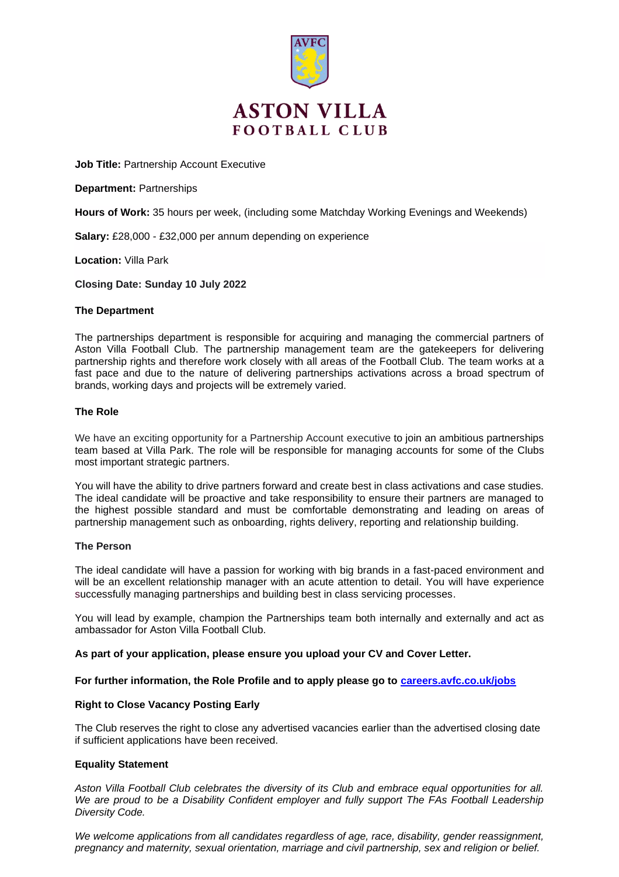

# **ASTON VILLA FOOTBALL CLUB**

**Job Title:** Partnership Account Executive

**Department:** Partnerships

**Hours of Work:** 35 hours per week, (including some Matchday Working Evenings and Weekends)

**Salary:** £28,000 - £32,000 per annum depending on experience

**Location:** Villa Park

**Closing Date: Sunday 10 July 2022**

## **The Department**

The partnerships department is responsible for acquiring and managing the commercial partners of Aston Villa Football Club. The partnership management team are the gatekeepers for delivering partnership rights and therefore work closely with all areas of the Football Club. The team works at a fast pace and due to the nature of delivering partnerships activations across a broad spectrum of brands, working days and projects will be extremely varied.

## **The Role**

We have an exciting opportunity for a Partnership Account executive to join an ambitious partnerships team based at Villa Park. The role will be responsible for managing accounts for some of the Clubs most important strategic partners.

You will have the ability to drive partners forward and create best in class activations and case studies. The ideal candidate will be proactive and take responsibility to ensure their partners are managed to the highest possible standard and must be comfortable demonstrating and leading on areas of partnership management such as onboarding, rights delivery, reporting and relationship building.

#### **The Person**

The ideal candidate will have a passion for working with big brands in a fast-paced environment and will be an excellent relationship manager with an acute attention to detail. You will have experience successfully managing partnerships and building best in class servicing processes.

You will lead by example, champion the Partnerships team both internally and externally and act as ambassador for Aston Villa Football Club.

#### **As part of your application, please ensure you upload your CV and Cover Letter.**

#### **For further information, the Role Profile and to apply please go to [careers.avfc.co.uk/jobs](https://careers.avfc.co.uk/jobs)**

# **Right to Close Vacancy Posting Early**

The Club reserves the right to close any advertised vacancies earlier than the advertised closing date if sufficient applications have been received.

# **Equality Statement**

*Aston Villa Football Club celebrates the diversity of its Club and embrace equal opportunities for all. We are proud to be a Disability Confident employer and fully support The FAs Football Leadership Diversity Code.*

*We welcome applications from all candidates regardless of age, race, disability, gender reassignment, pregnancy and maternity, sexual orientation, marriage and civil partnership, sex and religion or belief.*